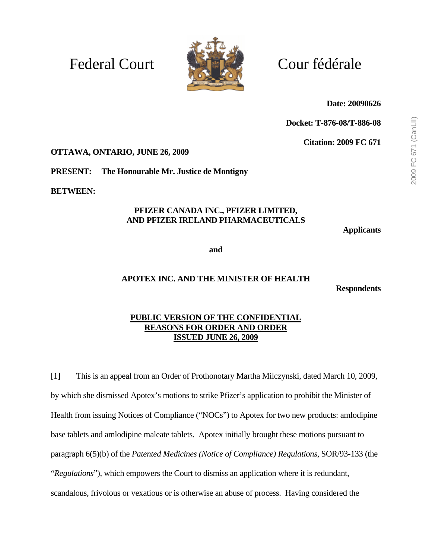# Federal Court Court Cour fédérale



**Date: 20090626** 

**Docket: T-876-08/T-886-08** 

**Citation: 2009 FC 671** 

**OTTAWA, ONTARIO, JUNE 26, 2009** 

**PRESENT: The Honourable Mr. Justice de Montigny** 

**BETWEEN:** 

#### **PFIZER CANADA INC., PFIZER LIMITED, AND PFIZER IRELAND PHARMACEUTICALS**

**Applicants** 

**and** 

# **APOTEX INC. AND THE MINISTER OF HEALTH**

**Respondents** 

# **PUBLIC VERSION OF THE CONFIDENTIAL REASONS FOR ORDER AND ORDER ISSUED JUNE 26, 2009**

[1] This is an appeal from an Order of Prothonotary Martha Milczynski, dated March 10, 2009, by which she dismissed Apotex's motions to strike Pfizer's application to prohibit the Minister of Health from issuing Notices of Compliance ("NOCs") to Apotex for two new products: amlodipine base tablets and amlodipine maleate tablets. Apotex initially brought these motions pursuant to paragraph 6(5)(b) of the *Patented Medicines (Notice of Compliance) Regulations,* SOR/93-133 (the "*Regulations*"), which empowers the Court to dismiss an application where it is redundant, scandalous, frivolous or vexatious or is otherwise an abuse of process. Having considered the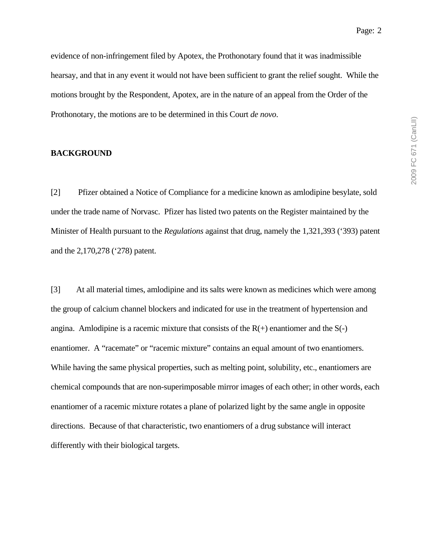2009 FC 671 (CanLII) 2009 FC 671 (CanLII)

evidence of non-infringement filed by Apotex, the Prothonotary found that it was inadmissible hearsay, and that in any event it would not have been sufficient to grant the relief sought. While the motions brought by the Respondent, Apotex, are in the nature of an appeal from the Order of the Prothonotary, the motions are to be determined in this Court *de novo*.

#### **BACKGROUND**

[2] Pfizer obtained a Notice of Compliance for a medicine known as amlodipine besylate, sold under the trade name of Norvasc. Pfizer has listed two patents on the Register maintained by the Minister of Health pursuant to the *Regulations* against that drug, namely the 1,321,393 ('393) patent and the 2,170,278 ('278) patent.

[3] At all material times, amlodipine and its salts were known as medicines which were among the group of calcium channel blockers and indicated for use in the treatment of hypertension and angina. Amlodipine is a racemic mixture that consists of the  $R(+)$  enantiomer and the  $S(-)$ enantiomer. A "racemate" or "racemic mixture" contains an equal amount of two enantiomers. While having the same physical properties, such as melting point, solubility, etc., enantiomers are chemical compounds that are non-superimposable mirror images of each other; in other words, each enantiomer of a racemic mixture rotates a plane of polarized light by the same angle in opposite directions. Because of that characteristic, two enantiomers of a drug substance will interact differently with their biological targets.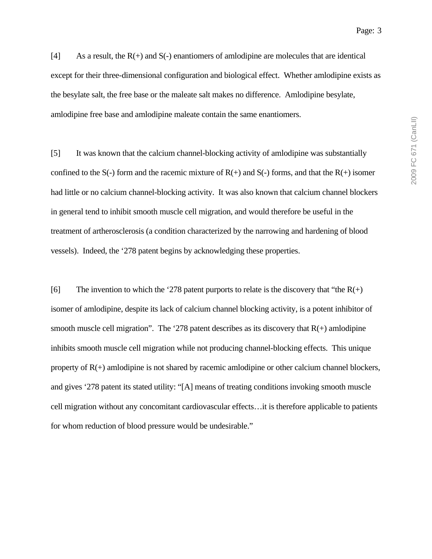2009 FC 671 (CanLII) 2009 FC 671 (CanLII)

Page: 3

 $[4]$  As a result, the R(+) and S(-) enantiomers of amodipine are molecules that are identical except for their three-dimensional configuration and biological effect. Whether amlodipine exists as the besylate salt, the free base or the maleate salt makes no difference. Amlodipine besylate, amlodipine free base and amlodipine maleate contain the same enantiomers.

[5] It was known that the calcium channel-blocking activity of amlodipine was substantially confined to the  $S(-)$  form and the racemic mixture of  $R(+)$  and  $S(-)$  forms, and that the  $R(+)$  isomer had little or no calcium channel-blocking activity. It was also known that calcium channel blockers in general tend to inhibit smooth muscle cell migration, and would therefore be useful in the treatment of artherosclerosis (a condition characterized by the narrowing and hardening of blood vessels). Indeed, the '278 patent begins by acknowledging these properties.

[6] The invention to which the '278 patent purports to relate is the discovery that "the  $R(+)$ isomer of amlodipine, despite its lack of calcium channel blocking activity, is a potent inhibitor of smooth muscle cell migration". The '278 patent describes as its discovery that  $R(+)$  amlodipine inhibits smooth muscle cell migration while not producing channel-blocking effects. This unique property of  $R(+)$  amlodipine is not shared by racemic amlodipine or other calcium channel blockers, and gives '278 patent its stated utility: "[A] means of treating conditions invoking smooth muscle cell migration without any concomitant cardiovascular effects…it is therefore applicable to patients for whom reduction of blood pressure would be undesirable."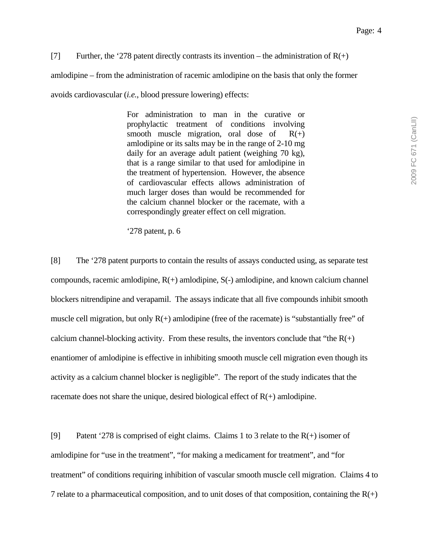[7] Further, the '278 patent directly contrasts its invention – the administration of  $R(+)$ 

amlodipine – from the administration of racemic amlodipine on the basis that only the former

avoids cardiovascular (*i.e.*, blood pressure lowering) effects:

For administration to man in the curative or prophylactic treatment of conditions involving smooth muscle migration, oral dose of  $R(+)$ amlodipine or its salts may be in the range of 2-10 mg daily for an average adult patient (weighing 70 kg), that is a range similar to that used for amlodipine in the treatment of hypertension. However, the absence of cardiovascular effects allows administration of much larger doses than would be recommended for the calcium channel blocker or the racemate, with a correspondingly greater effect on cell migration.

'278 patent, p. 6

[8] The '278 patent purports to contain the results of assays conducted using, as separate test compounds, racemic amlodipine, R(+) amlodipine, S(-) amlodipine, and known calcium channel blockers nitrendipine and verapamil. The assays indicate that all five compounds inhibit smooth muscle cell migration, but only  $R(+)$  amlodipine (free of the racemate) is "substantially free" of calcium channel-blocking activity. From these results, the inventors conclude that "the  $R(+)$ enantiomer of amlodipine is effective in inhibiting smooth muscle cell migration even though its activity as a calcium channel blocker is negligible". The report of the study indicates that the racemate does not share the unique, desired biological effect of  $R(+)$  amlodipine.

[9] Patent '278 is comprised of eight claims. Claims 1 to 3 relate to the  $R(+)$  isomer of amlodipine for "use in the treatment", "for making a medicament for treatment", and "for treatment" of conditions requiring inhibition of vascular smooth muscle cell migration. Claims 4 to 7 relate to a pharmaceutical composition, and to unit doses of that composition, containing the  $R(+)$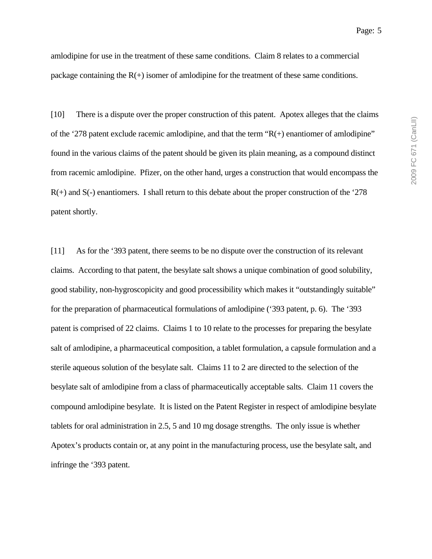amlodipine for use in the treatment of these same conditions. Claim 8 relates to a commercial package containing the  $R(+)$  isomer of amlodipine for the treatment of these same conditions.

[10] There is a dispute over the proper construction of this patent. Apotex alleges that the claims of the '278 patent exclude racemic amlodipine, and that the term  $R(+)$  enantiomer of amlodipine" found in the various claims of the patent should be given its plain meaning, as a compound distinct from racemic amlodipine. Pfizer, on the other hand, urges a construction that would encompass the R(+) and S(-) enantiomers. I shall return to this debate about the proper construction of the '278 patent shortly.

[11] As for the '393 patent, there seems to be no dispute over the construction of its relevant claims. According to that patent, the besylate salt shows a unique combination of good solubility, good stability, non-hygroscopicity and good processibility which makes it "outstandingly suitable" for the preparation of pharmaceutical formulations of amlodipine ('393 patent, p. 6). The '393 patent is comprised of 22 claims. Claims 1 to 10 relate to the processes for preparing the besylate salt of amlodipine, a pharmaceutical composition, a tablet formulation, a capsule formulation and a sterile aqueous solution of the besylate salt. Claims 11 to 2 are directed to the selection of the besylate salt of amlodipine from a class of pharmaceutically acceptable salts. Claim 11 covers the compound amlodipine besylate. It is listed on the Patent Register in respect of amlodipine besylate tablets for oral administration in 2.5, 5 and 10 mg dosage strengths. The only issue is whether Apotex's products contain or, at any point in the manufacturing process, use the besylate salt, and infringe the '393 patent.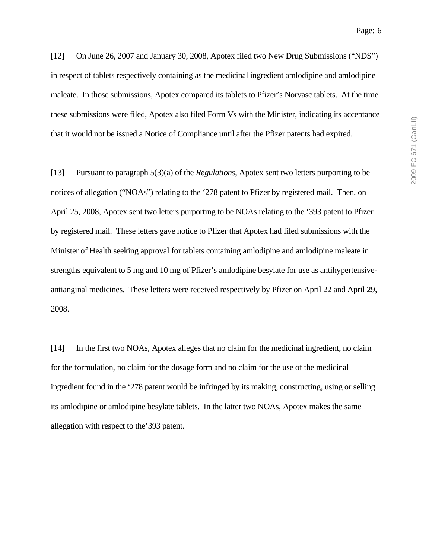[12] On June 26, 2007 and January 30, 2008, Apotex filed two New Drug Submissions ("NDS") in respect of tablets respectively containing as the medicinal ingredient amlodipine and amlodipine maleate. In those submissions, Apotex compared its tablets to Pfizer's Norvasc tablets. At the time these submissions were filed, Apotex also filed Form Vs with the Minister, indicating its acceptance that it would not be issued a Notice of Compliance until after the Pfizer patents had expired.

[13] Pursuant to paragraph 5(3)(a) of the *Regulations*, Apotex sent two letters purporting to be notices of allegation ("NOAs") relating to the '278 patent to Pfizer by registered mail. Then, on April 25, 2008, Apotex sent two letters purporting to be NOAs relating to the '393 patent to Pfizer by registered mail. These letters gave notice to Pfizer that Apotex had filed submissions with the Minister of Health seeking approval for tablets containing amlodipine and amlodipine maleate in strengths equivalent to 5 mg and 10 mg of Pfizer's amlodipine besylate for use as antihypertensiveantianginal medicines. These letters were received respectively by Pfizer on April 22 and April 29, 2008.

[14] In the first two NOAs, Apotex alleges that no claim for the medicinal ingredient, no claim for the formulation, no claim for the dosage form and no claim for the use of the medicinal ingredient found in the '278 patent would be infringed by its making, constructing, using or selling its amlodipine or amlodipine besylate tablets. In the latter two NOAs, Apotex makes the same allegation with respect to the'393 patent.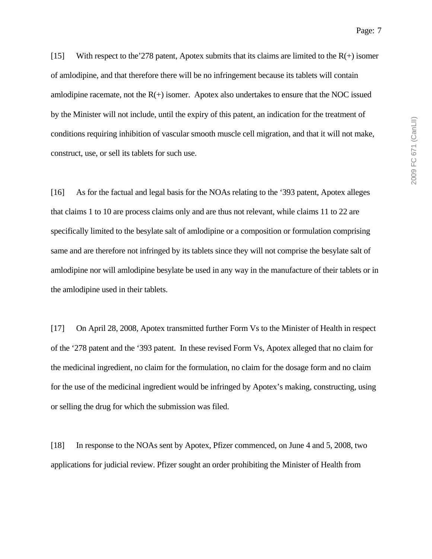2009 FC 671 (CanLII) 2009 FC 671 (CanLII)

[15] With respect to the 278 patent, Apotex submits that its claims are limited to the  $R(+)$  isomer of amlodipine, and that therefore there will be no infringement because its tablets will contain amlodipine racemate, not the  $R(+)$  isomer. Apotex also undertakes to ensure that the NOC issued by the Minister will not include, until the expiry of this patent, an indication for the treatment of conditions requiring inhibition of vascular smooth muscle cell migration, and that it will not make, construct, use, or sell its tablets for such use.

[16] As for the factual and legal basis for the NOAs relating to the '393 patent, Apotex alleges that claims 1 to 10 are process claims only and are thus not relevant, while claims 11 to 22 are specifically limited to the besylate salt of amlodipine or a composition or formulation comprising same and are therefore not infringed by its tablets since they will not comprise the besylate salt of amlodipine nor will amlodipine besylate be used in any way in the manufacture of their tablets or in the amlodipine used in their tablets.

[17] On April 28, 2008, Apotex transmitted further Form Vs to the Minister of Health in respect of the '278 patent and the '393 patent. In these revised Form Vs, Apotex alleged that no claim for the medicinal ingredient, no claim for the formulation, no claim for the dosage form and no claim for the use of the medicinal ingredient would be infringed by Apotex's making, constructing, using or selling the drug for which the submission was filed.

[18] In response to the NOAs sent by Apotex, Pfizer commenced, on June 4 and 5, 2008, two applications for judicial review. Pfizer sought an order prohibiting the Minister of Health from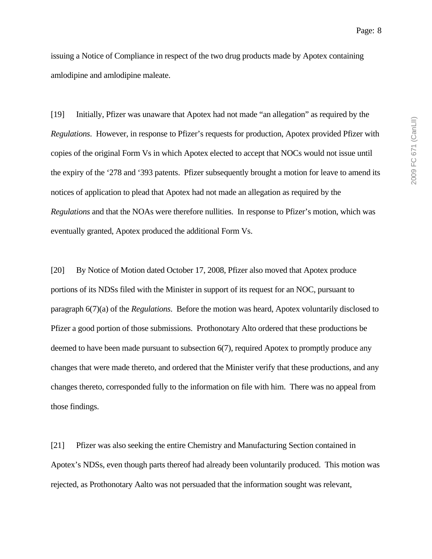issuing a Notice of Compliance in respect of the two drug products made by Apotex containing amlodipine and amlodipine maleate.

[19] Initially, Pfizer was unaware that Apotex had not made "an allegation" as required by the *Regulations*. However, in response to Pfizer's requests for production, Apotex provided Pfizer with copies of the original Form Vs in which Apotex elected to accept that NOCs would not issue until the expiry of the '278 and '393 patents. Pfizer subsequently brought a motion for leave to amend its notices of application to plead that Apotex had not made an allegation as required by the *Regulations* and that the NOAs were therefore nullities. In response to Pfizer's motion, which was eventually granted, Apotex produced the additional Form Vs.

[20] By Notice of Motion dated October 17, 2008, Pfizer also moved that Apotex produce portions of its NDSs filed with the Minister in support of its request for an NOC, pursuant to paragraph 6(7)(a) of the *Regulations*. Before the motion was heard, Apotex voluntarily disclosed to Pfizer a good portion of those submissions. Prothonotary Alto ordered that these productions be deemed to have been made pursuant to subsection 6(7), required Apotex to promptly produce any changes that were made thereto, and ordered that the Minister verify that these productions, and any changes thereto, corresponded fully to the information on file with him. There was no appeal from those findings.

[21] Pfizer was also seeking the entire Chemistry and Manufacturing Section contained in Apotex's NDSs, even though parts thereof had already been voluntarily produced. This motion was rejected, as Prothonotary Aalto was not persuaded that the information sought was relevant,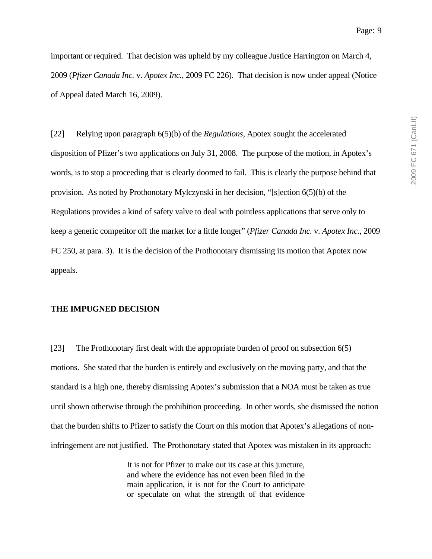important or required. That decision was upheld by my colleague Justice Harrington on March 4, 2009 (*Pfizer Canada Inc.* v. *Apotex Inc.*, 2009 FC 226). That decision is now under appeal (Notice of Appeal dated March 16, 2009).

[22] Relying upon paragraph 6(5)(b) of the *Regulations*, Apotex sought the accelerated disposition of Pfizer's two applications on July 31, 2008. The purpose of the motion, in Apotex's words, is to stop a proceeding that is clearly doomed to fail. This is clearly the purpose behind that provision. As noted by Prothonotary Mylczynski in her decision, "[s]ection 6(5)(b) of the Regulations provides a kind of safety valve to deal with pointless applications that serve only to keep a generic competitor off the market for a little longer" (*Pfizer Canada Inc.* v. *Apotex Inc.*, 2009 FC 250, at para. 3). It is the decision of the Prothonotary dismissing its motion that Apotex now appeals.

#### **THE IMPUGNED DECISION**

[23] The Prothonotary first dealt with the appropriate burden of proof on subsection 6(5) motions. She stated that the burden is entirely and exclusively on the moving party, and that the standard is a high one, thereby dismissing Apotex's submission that a NOA must be taken as true until shown otherwise through the prohibition proceeding. In other words, she dismissed the notion that the burden shifts to Pfizer to satisfy the Court on this motion that Apotex's allegations of noninfringement are not justified. The Prothonotary stated that Apotex was mistaken in its approach:

> It is not for Pfizer to make out its case at this juncture, and where the evidence has not even been filed in the main application, it is not for the Court to anticipate or speculate on what the strength of that evidence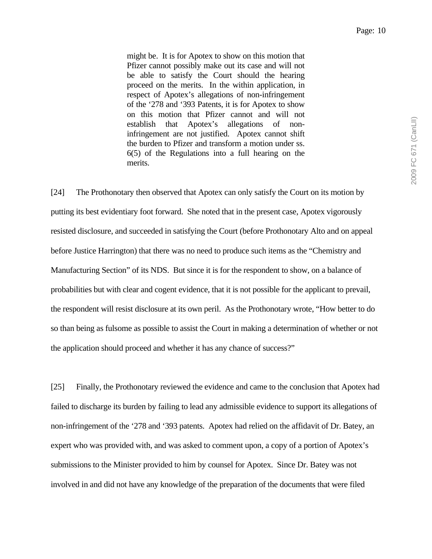might be. It is for Apotex to show on this motion that Pfizer cannot possibly make out its case and will not be able to satisfy the Court should the hearing proceed on the merits. In the within application, in respect of Apotex's allegations of non-infringement of the '278 and '393 Patents, it is for Apotex to show on this motion that Pfizer cannot and will not establish that Apotex's allegations of noninfringement are not justified. Apotex cannot shift the burden to Pfizer and transform a motion under ss. 6(5) of the Regulations into a full hearing on the merits.

[24] The Prothonotary then observed that Apotex can only satisfy the Court on its motion by putting its best evidentiary foot forward. She noted that in the present case, Apotex vigorously resisted disclosure, and succeeded in satisfying the Court (before Prothonotary Alto and on appeal before Justice Harrington) that there was no need to produce such items as the "Chemistry and Manufacturing Section" of its NDS. But since it is for the respondent to show, on a balance of probabilities but with clear and cogent evidence, that it is not possible for the applicant to prevail, the respondent will resist disclosure at its own peril. As the Prothonotary wrote, "How better to do so than being as fulsome as possible to assist the Court in making a determination of whether or not the application should proceed and whether it has any chance of success?"

[25] Finally, the Prothonotary reviewed the evidence and came to the conclusion that Apotex had failed to discharge its burden by failing to lead any admissible evidence to support its allegations of non-infringement of the '278 and '393 patents. Apotex had relied on the affidavit of Dr. Batey, an expert who was provided with, and was asked to comment upon, a copy of a portion of Apotex's submissions to the Minister provided to him by counsel for Apotex. Since Dr. Batey was not involved in and did not have any knowledge of the preparation of the documents that were filed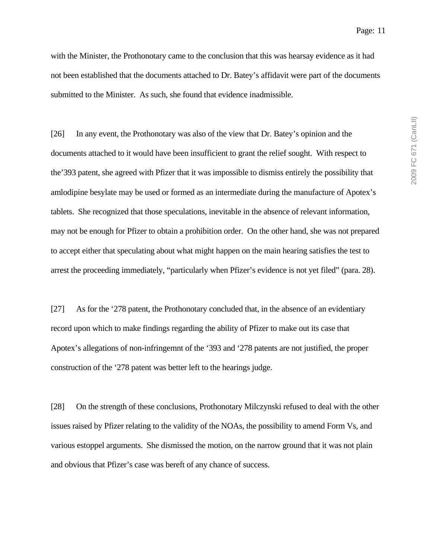Page: 11

with the Minister, the Prothonotary came to the conclusion that this was hearsay evidence as it had not been established that the documents attached to Dr. Batey's affidavit were part of the documents submitted to the Minister. As such, she found that evidence inadmissible.

[26] In any event, the Prothonotary was also of the view that Dr. Batey's opinion and the documents attached to it would have been insufficient to grant the relief sought. With respect to the'393 patent, she agreed with Pfizer that it was impossible to dismiss entirely the possibility that amlodipine besylate may be used or formed as an intermediate during the manufacture of Apotex's tablets. She recognized that those speculations, inevitable in the absence of relevant information, may not be enough for Pfizer to obtain a prohibition order. On the other hand, she was not prepared to accept either that speculating about what might happen on the main hearing satisfies the test to arrest the proceeding immediately, "particularly when Pfizer's evidence is not yet filed" (para. 28).

[27] As for the '278 patent, the Prothonotary concluded that, in the absence of an evidentiary record upon which to make findings regarding the ability of Pfizer to make out its case that Apotex's allegations of non-infringemnt of the '393 and '278 patents are not justified, the proper construction of the '278 patent was better left to the hearings judge.

[28] On the strength of these conclusions, Prothonotary Milczynski refused to deal with the other issues raised by Pfizer relating to the validity of the NOAs, the possibility to amend Form Vs, and various estoppel arguments. She dismissed the motion, on the narrow ground that it was not plain and obvious that Pfizer's case was bereft of any chance of success.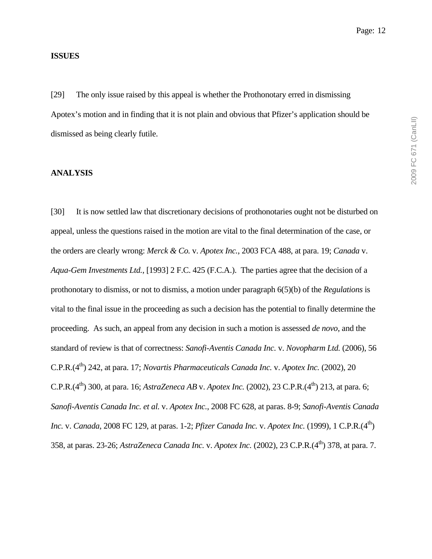#### **ISSUES**

[29] The only issue raised by this appeal is whether the Prothonotary erred in dismissing Apotex's motion and in finding that it is not plain and obvious that Pfizer's application should be dismissed as being clearly futile.

#### **ANALYSIS**

[30] It is now settled law that discretionary decisions of prothonotaries ought not be disturbed on appeal, unless the questions raised in the motion are vital to the final determination of the case, or the orders are clearly wrong: *Merck & Co.* v. *Apotex Inc.*, 2003 FCA 488, at para. 19; *Canada* v. *Aqua-Gem Investments Ltd.*, [1993] 2 F.C. 425 (F.C.A.). The parties agree that the decision of a prothonotary to dismiss, or not to dismiss, a motion under paragraph 6(5)(b) of the *Regulations* is vital to the final issue in the proceeding as such a decision has the potential to finally determine the proceeding. As such, an appeal from any decision in such a motion is assessed *de novo*, and the standard of review is that of correctness: *Sanofi-Aventis Canada Inc.* v. *Novopharm Ltd.* (2006), 56 C.P.R.(4<sup>th</sup>) 242, at para. 17; *Novartis Pharmaceuticals Canada Inc.* v. *Apotex Inc.* (2002), 20 C.P.R.(4<sup>th</sup>) 300, at para. 16; *AstraZeneca AB* v. *Apotex Inc.* (2002), 23 C.P.R.(4<sup>th</sup>) 213, at para. 6; *Sanofi-Aventis Canada Inc. et al.* v. *Apotex Inc.*, 2008 FC 628, at paras. 8-9; *Sanofi-Aventis Canada Inc.* v. *Canada*, 2008 FC 129, at paras. 1-2; *Pfizer Canada Inc.* v. *Apotex Inc.* (1999), 1 C.P.R.(4<sup>th</sup>) 358, at paras. 23-26; *AstraZeneca Canada Inc.* v. *Apotex Inc.* (2002), 23 C.P.R.(4th) 378, at para. 7.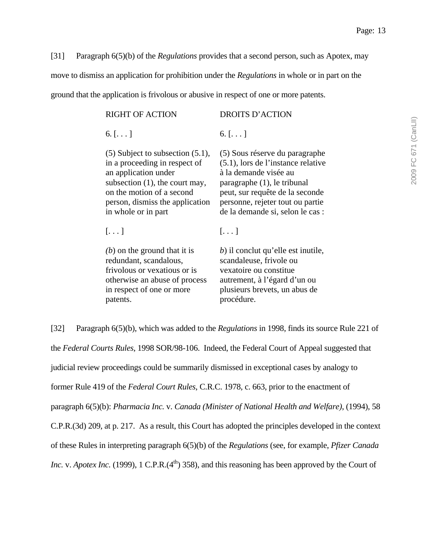[31] Paragraph 6(5)(b) of the *Regulations* provides that a second person, such as Apotex, may move to dismiss an application for prohibition under the *Regulations* in whole or in part on the ground that the application is frivolous or abusive in respect of one or more patents.

| <b>RIGHT OF ACTION</b>                                                                                                                                                                                                     | <b>DROITS D'ACTION</b>                                                                                                                                                                                                                     |
|----------------------------------------------------------------------------------------------------------------------------------------------------------------------------------------------------------------------------|--------------------------------------------------------------------------------------------------------------------------------------------------------------------------------------------------------------------------------------------|
| 6. $[]$                                                                                                                                                                                                                    | 6. $[]$                                                                                                                                                                                                                                    |
| $(5)$ Subject to subsection $(5.1)$ ,<br>in a proceeding in respect of<br>an application under<br>subsection $(1)$ , the court may,<br>on the motion of a second<br>person, dismiss the application<br>in whole or in part | (5) Sous réserve du paragraphe<br>$(5.1)$ , lors de l'instance relative<br>à la demande visée au<br>paragraphe (1), le tribunal<br>peut, sur requête de la seconde<br>personne, rejeter tout ou partie<br>de la demande si, selon le cas : |
| $[\ldots]$                                                                                                                                                                                                                 | $[\ldots]$                                                                                                                                                                                                                                 |
| $(b)$ on the ground that it is<br>redundant, scandalous,<br>frivolous or vexatious or is<br>otherwise an abuse of process<br>in respect of one or more<br>patents.                                                         | b) il conclut qu'elle est inutile,<br>scandaleuse, frivole ou<br>vexatoire ou constitue<br>autrement, à l'égard d'un ou<br>plusieurs brevets, un abus de<br>procédure.                                                                     |

[32] Paragraph 6(5)(b), which was added to the *Regulations* in 1998, finds its source Rule 221 of the *Federal Courts Rules*, 1998 SOR/98-106. Indeed, the Federal Court of Appeal suggested that judicial review proceedings could be summarily dismissed in exceptional cases by analogy to former Rule 419 of the *Federal Court Rules*, C.R.C. 1978, c. 663, prior to the enactment of paragraph 6(5)(b): *Pharmacia Inc.* v. *Canada (Minister of National Health and Welfare)*, (1994), 58 C.P.R.(3d) 209, at p. 217. As a result, this Court has adopted the principles developed in the context of these Rules in interpreting paragraph 6(5)(b) of the *Regulations* (see, for example, *Pfizer Canada Inc.* v. *Apotex Inc.* (1999), 1 C.P.R. $(4<sup>th</sup>)$  358), and this reasoning has been approved by the Court of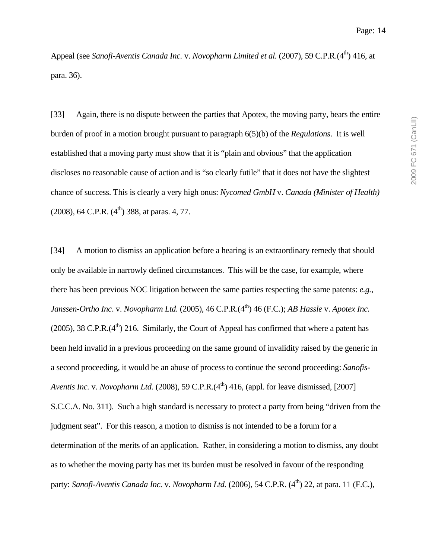Appeal (see *Sanofi-Aventis Canada Inc.* v. *Novopharm Limited et al.* (2007), 59 C.P.R.(4<sup>th</sup>) 416, at para. 36).

[33] Again, there is no dispute between the parties that Apotex, the moving party, bears the entire burden of proof in a motion brought pursuant to paragraph 6(5)(b) of the *Regulations*. It is well established that a moving party must show that it is "plain and obvious" that the application discloses no reasonable cause of action and is "so clearly futile" that it does not have the slightest chance of success. This is clearly a very high onus: *Nycomed GmbH* v. *Canada (Minister of Health)*  $(2008)$ , 64 C.P.R.  $(4<sup>th</sup>)$  388, at paras. 4, 77.

[34] A motion to dismiss an application before a hearing is an extraordinary remedy that should only be available in narrowly defined circumstances. This will be the case, for example, where there has been previous NOC litigation between the same parties respecting the same patents: *e.g.*, *Janssen-Ortho Inc. v. Novopharm Ltd.* (2005), 46 C.P.R.(4<sup>th</sup>) 46 (F.C.); *AB Hassle v. Apotex Inc.* (2005), 38 C.P.R. $(4<sup>th</sup>)$  216. Similarly, the Court of Appeal has confirmed that where a patent has been held invalid in a previous proceeding on the same ground of invalidity raised by the generic in a second proceeding, it would be an abuse of process to continue the second proceeding: *Sanofis-Aventis Inc.* v. *Novopharm Ltd.* (2008), 59 C.P.R.  $(4<sup>th</sup>)$  416, (appl. for leave dismissed, [2007] S.C.C.A. No. 311). Such a high standard is necessary to protect a party from being "driven from the judgment seat". For this reason, a motion to dismiss is not intended to be a forum for a determination of the merits of an application. Rather, in considering a motion to dismiss, any doubt as to whether the moving party has met its burden must be resolved in favour of the responding party: *Sanofi-Aventis Canada Inc.* v. *Novopharm Ltd.* (2006), 54 C.P.R. (4<sup>th</sup>) 22, at para. 11 (F.C.),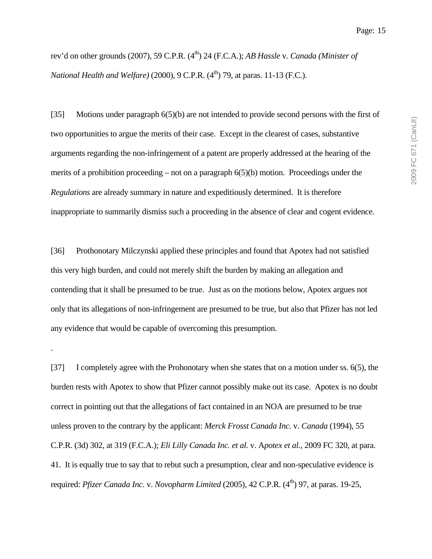rev'd on other grounds (2007), 59 C.P.R. (4<sup>th</sup>) 24 (F.C.A.); *AB Hassle* v. *Canada (Minister of National Health and Welfare*) (2000), 9 C.P.R. (4<sup>th</sup>) 79, at paras. 11-13 (F.C.).

[35] Motions under paragraph 6(5)(b) are not intended to provide second persons with the first of two opportunities to argue the merits of their case. Except in the clearest of cases, substantive arguments regarding the non-infringement of a patent are properly addressed at the hearing of the merits of a prohibition proceeding – not on a paragraph  $6(5)(b)$  motion. Proceedings under the *Regulations* are already summary in nature and expeditiously determined. It is therefore inappropriate to summarily dismiss such a proceeding in the absence of clear and cogent evidence.

[36] Prothonotary Milczynski applied these principles and found that Apotex had not satisfied this very high burden, and could not merely shift the burden by making an allegation and contending that it shall be presumed to be true. Just as on the motions below, Apotex argues not only that its allegations of non-infringement are presumed to be true, but also that Pfizer has not led any evidence that would be capable of overcoming this presumption.

.

[37] I completely agree with the Prohonotary when she states that on a motion under ss. 6(5), the burden rests with Apotex to show that Pfizer cannot possibly make out its case. Apotex is no doubt correct in pointing out that the allegations of fact contained in an NOA are presumed to be true unless proven to the contrary by the applicant: *Merck Frosst Canada Inc.* v. *Canada* (1994), 55 C.P.R. (3d) 302, at 319 (F.C.A.); *Eli Lilly Canada Inc. et al.* v. A*potex et al.*, 2009 FC 320, at para. 41. It is equally true to say that to rebut such a presumption, clear and non-speculative evidence is required: *Pfizer Canada Inc.* v. *Novopharm Limited* (2005), 42 C.P.R. (4<sup>th</sup>) 97, at paras. 19-25,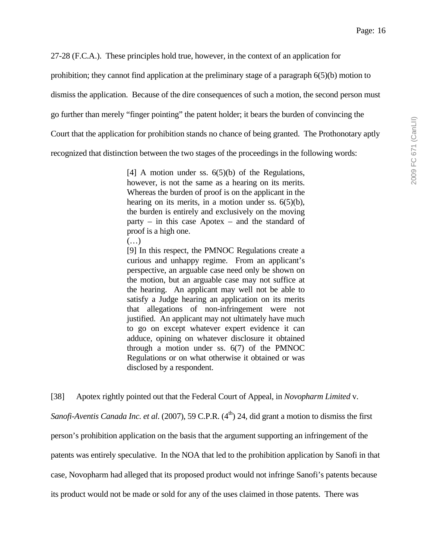27-28 (F.C.A.). These principles hold true, however, in the context of an application for

prohibition; they cannot find application at the preliminary stage of a paragraph 6(5)(b) motion to

dismiss the application. Because of the dire consequences of such a motion, the second person must

go further than merely "finger pointing" the patent holder; it bears the burden of convincing the

Court that the application for prohibition stands no chance of being granted. The Prothonotary aptly

recognized that distinction between the two stages of the proceedings in the following words:

[4] A motion under ss.  $6(5)(b)$  of the Regulations, however, is not the same as a hearing on its merits. Whereas the burden of proof is on the applicant in the hearing on its merits, in a motion under ss.  $6(5)(b)$ , the burden is entirely and exclusively on the moving party – in this case Apotex – and the standard of proof is a high one.

 $(\ldots)$ 

[9] In this respect, the PMNOC Regulations create a curious and unhappy regime. From an applicant's perspective, an arguable case need only be shown on the motion, but an arguable case may not suffice at the hearing. An applicant may well not be able to satisfy a Judge hearing an application on its merits that allegations of non-infringement were not justified. An applicant may not ultimately have much to go on except whatever expert evidence it can adduce, opining on whatever disclosure it obtained through a motion under ss. 6(7) of the PMNOC Regulations or on what otherwise it obtained or was disclosed by a respondent.

[38] Apotex rightly pointed out that the Federal Court of Appeal, in *Novopharm Limited* v.

*Sanofi-Aventis Canada Inc. et al.* (2007), 59 C.P.R. (4<sup>th</sup>) 24, did grant a motion to dismiss the first person's prohibition application on the basis that the argument supporting an infringement of the patents was entirely speculative. In the NOA that led to the prohibition application by Sanofi in that case, Novopharm had alleged that its proposed product would not infringe Sanofi's patents because its product would not be made or sold for any of the uses claimed in those patents. There was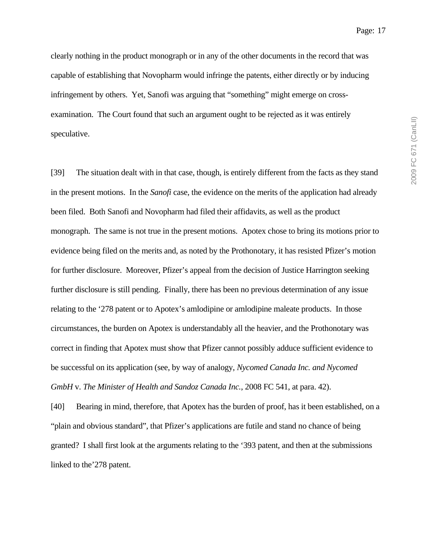Page: 17

clearly nothing in the product monograph or in any of the other documents in the record that was capable of establishing that Novopharm would infringe the patents, either directly or by inducing infringement by others. Yet, Sanofi was arguing that "something" might emerge on crossexamination. The Court found that such an argument ought to be rejected as it was entirely speculative.

[39] The situation dealt with in that case, though, is entirely different from the facts as they stand in the present motions. In the *Sanofi* case, the evidence on the merits of the application had already been filed. Both Sanofi and Novopharm had filed their affidavits, as well as the product monograph. The same is not true in the present motions. Apotex chose to bring its motions prior to evidence being filed on the merits and, as noted by the Prothonotary, it has resisted Pfizer's motion for further disclosure. Moreover, Pfizer's appeal from the decision of Justice Harrington seeking further disclosure is still pending. Finally, there has been no previous determination of any issue relating to the '278 patent or to Apotex's amlodipine or amlodipine maleate products. In those circumstances, the burden on Apotex is understandably all the heavier, and the Prothonotary was correct in finding that Apotex must show that Pfizer cannot possibly adduce sufficient evidence to be successful on its application (see, by way of analogy, *Nycomed Canada Inc. and Nycomed GmbH* v. *The Minister of Health and Sandoz Canada Inc.*, 2008 FC 541, at para. 42).

[40] Bearing in mind, therefore, that Apotex has the burden of proof, has it been established, on a "plain and obvious standard", that Pfizer's applications are futile and stand no chance of being granted? I shall first look at the arguments relating to the '393 patent, and then at the submissions linked to the'278 patent.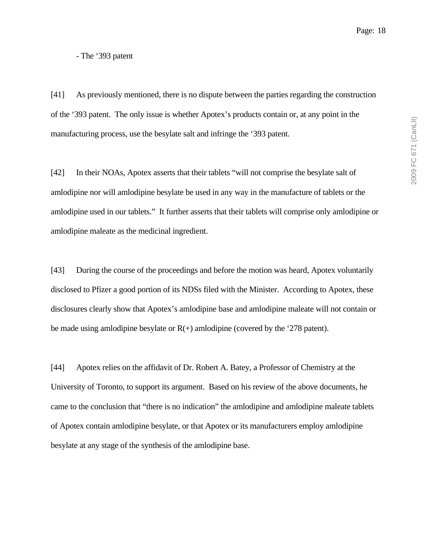2009 FC 671 (CanLII) 2009 FC 671 (CanLII)

- The '393 patent

[41] As previously mentioned, there is no dispute between the parties regarding the construction of the '393 patent. The only issue is whether Apotex's products contain or, at any point in the manufacturing process, use the besylate salt and infringe the '393 patent.

[42] In their NOAs, Apotex asserts that their tablets "will not comprise the besylate salt of amlodipine nor will amlodipine besylate be used in any way in the manufacture of tablets or the amlodipine used in our tablets." It further asserts that their tablets will comprise only amlodipine or amlodipine maleate as the medicinal ingredient.

[43] During the course of the proceedings and before the motion was heard, Apotex voluntarily disclosed to Pfizer a good portion of its NDSs filed with the Minister. According to Apotex, these disclosures clearly show that Apotex's amlodipine base and amlodipine maleate will not contain or be made using amlodipine besylate or  $R(+)$  amlodipine (covered by the '278 patent).

[44] Apotex relies on the affidavit of Dr. Robert A. Batey, a Professor of Chemistry at the University of Toronto, to support its argument. Based on his review of the above documents, he came to the conclusion that "there is no indication" the amlodipine and amlodipine maleate tablets of Apotex contain amlodipine besylate, or that Apotex or its manufacturers employ amlodipine besylate at any stage of the synthesis of the amlodipine base.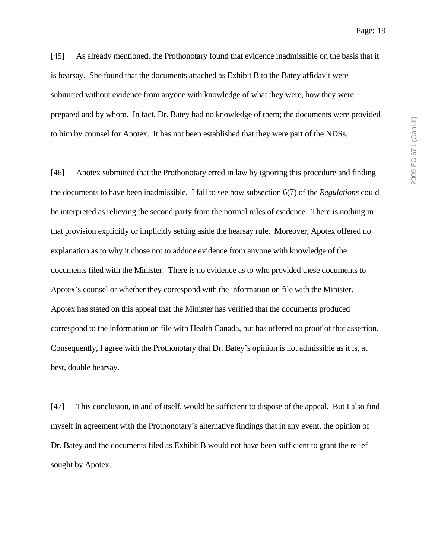[45] As already mentioned, the Prothonotary found that evidence inadmissible on the basis that it is hearsay. She found that the documents attached as Exhibit B to the Batey affidavit were submitted without evidence from anyone with knowledge of what they were, how they were prepared and by whom. In fact, Dr. Batey had no knowledge of them; the documents were provided to him by counsel for Apotex. It has not been established that they were part of the NDSs.

[46] Apotex submitted that the Prothonotary erred in law by ignoring this procedure and finding the documents to have been inadmissible. I fail to see how subsection 6(7) of the *Regulations* could be interpreted as relieving the second party from the normal rules of evidence. There is nothing in that provision explicitly or implicitly setting aside the hearsay rule. Moreover, Apotex offered no explanation as to why it chose not to adduce evidence from anyone with knowledge of the documents filed with the Minister. There is no evidence as to who provided these documents to Apotex's counsel or whether they correspond with the information on file with the Minister. Apotex has stated on this appeal that the Minister has verified that the documents produced correspond to the information on file with Health Canada, but has offered no proof of that assertion. Consequently, I agree with the Prothonotary that Dr. Batey's opinion is not admissible as it is, at best, double hearsay.

[47] This conclusion, in and of itself, would be sufficient to dispose of the appeal. But I also find myself in agreement with the Prothonotary's alternative findings that in any event, the opinion of Dr. Batey and the documents filed as Exhibit B would not have been sufficient to grant the relief sought by Apotex.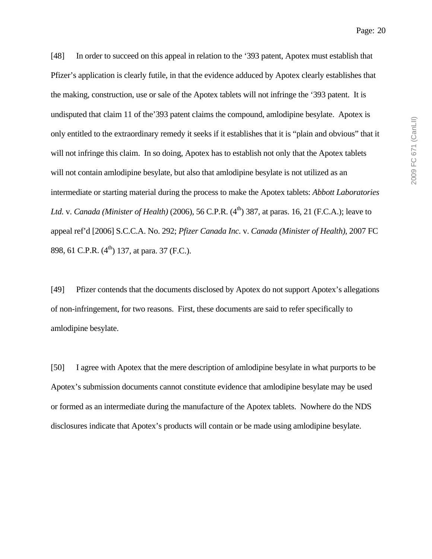[48] In order to succeed on this appeal in relation to the '393 patent, Apotex must establish that Pfizer's application is clearly futile, in that the evidence adduced by Apotex clearly establishes that the making, construction, use or sale of the Apotex tablets will not infringe the '393 patent. It is undisputed that claim 11 of the'393 patent claims the compound, amlodipine besylate. Apotex is only entitled to the extraordinary remedy it seeks if it establishes that it is "plain and obvious" that it will not infringe this claim. In so doing, Apotex has to establish not only that the Apotex tablets will not contain amlodipine besylate, but also that amlodipine besylate is not utilized as an intermediate or starting material during the process to make the Apotex tablets: *Abbott Laboratories Ltd.* v. *Canada (Minister of Health)* (2006), 56 C.P.R. (4<sup>th</sup>) 387, at paras. 16, 21 (F.C.A.); leave to appeal ref'd [2006] S.C.C.A. No. 292; *Pfizer Canada Inc.* v. *Canada (Minister of Health)*, 2007 FC 898, 61 C.P.R. (4<sup>th</sup>) 137, at para. 37 (F.C.).

[49] Pfizer contends that the documents disclosed by Apotex do not support Apotex's allegations of non-infringement, for two reasons. First, these documents are said to refer specifically to amlodipine besylate.

[50] I agree with Apotex that the mere description of amlodipine besylate in what purports to be Apotex's submission documents cannot constitute evidence that amlodipine besylate may be used or formed as an intermediate during the manufacture of the Apotex tablets. Nowhere do the NDS disclosures indicate that Apotex's products will contain or be made using amlodipine besylate.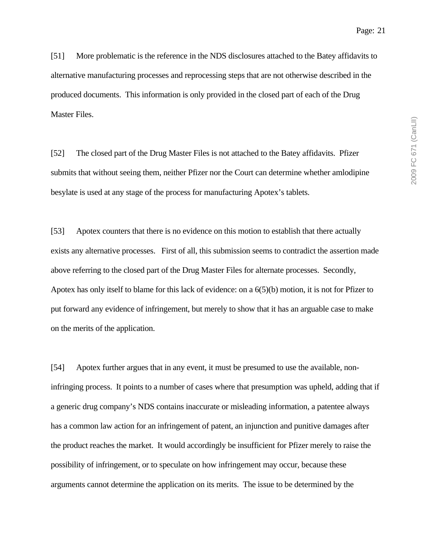[51] More problematic is the reference in the NDS disclosures attached to the Batey affidavits to alternative manufacturing processes and reprocessing steps that are not otherwise described in the produced documents. This information is only provided in the closed part of each of the Drug Master Files.

[52] The closed part of the Drug Master Files is not attached to the Batey affidavits. Pfizer submits that without seeing them, neither Pfizer nor the Court can determine whether amlodipine besylate is used at any stage of the process for manufacturing Apotex's tablets.

[53] Apotex counters that there is no evidence on this motion to establish that there actually exists any alternative processes. First of all, this submission seems to contradict the assertion made above referring to the closed part of the Drug Master Files for alternate processes. Secondly, Apotex has only itself to blame for this lack of evidence: on a 6(5)(b) motion, it is not for Pfizer to put forward any evidence of infringement, but merely to show that it has an arguable case to make on the merits of the application.

[54] Apotex further argues that in any event, it must be presumed to use the available, noninfringing process. It points to a number of cases where that presumption was upheld, adding that if a generic drug company's NDS contains inaccurate or misleading information, a patentee always has a common law action for an infringement of patent, an injunction and punitive damages after the product reaches the market. It would accordingly be insufficient for Pfizer merely to raise the possibility of infringement, or to speculate on how infringement may occur, because these arguments cannot determine the application on its merits. The issue to be determined by the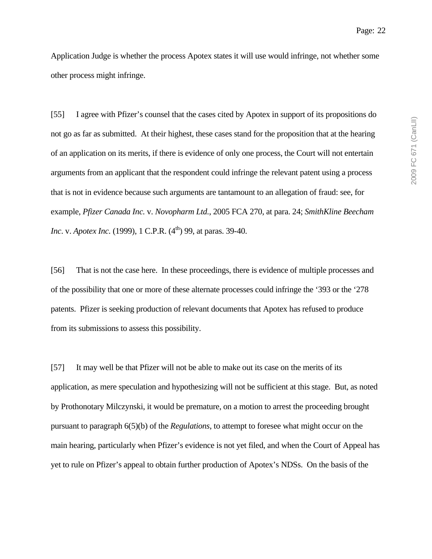Application Judge is whether the process Apotex states it will use would infringe, not whether some other process might infringe.

[55] I agree with Pfizer's counsel that the cases cited by Apotex in support of its propositions do not go as far as submitted. At their highest, these cases stand for the proposition that at the hearing of an application on its merits, if there is evidence of only one process, the Court will not entertain arguments from an applicant that the respondent could infringe the relevant patent using a process that is not in evidence because such arguments are tantamount to an allegation of fraud: see, for example, *Pfizer Canada Inc.* v. *Novopharm Ltd.*, 2005 FCA 270, at para. 24; *SmithKline Beecham Inc.* v. *Apotex Inc.* (1999), 1 C.P.R. (4<sup>th</sup>) 99, at paras. 39-40.

[56] That is not the case here. In these proceedings, there is evidence of multiple processes and of the possibility that one or more of these alternate processes could infringe the '393 or the '278 patents. Pfizer is seeking production of relevant documents that Apotex has refused to produce from its submissions to assess this possibility.

[57] It may well be that Pfizer will not be able to make out its case on the merits of its application, as mere speculation and hypothesizing will not be sufficient at this stage. But, as noted by Prothonotary Milczynski, it would be premature, on a motion to arrest the proceeding brought pursuant to paragraph 6(5)(b) of the *Regulations*, to attempt to foresee what might occur on the main hearing, particularly when Pfizer's evidence is not yet filed, and when the Court of Appeal has yet to rule on Pfizer's appeal to obtain further production of Apotex's NDSs. On the basis of the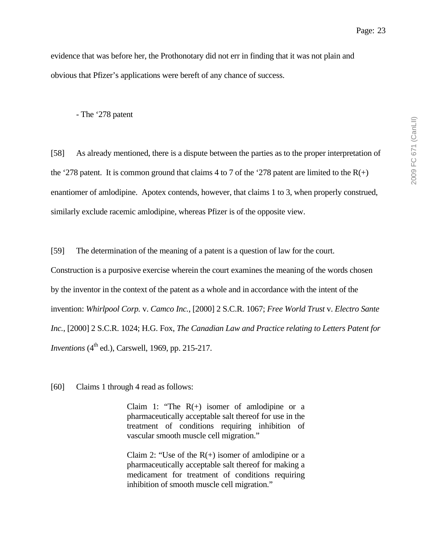evidence that was before her, the Prothonotary did not err in finding that it was not plain and obvious that Pfizer's applications were bereft of any chance of success.

- The '278 patent

[58] As already mentioned, there is a dispute between the parties as to the proper interpretation of the '278 patent. It is common ground that claims 4 to 7 of the '278 patent are limited to the  $R(+)$ enantiomer of amlodipine. Apotex contends, however, that claims 1 to 3, when properly construed, similarly exclude racemic amlodipine, whereas Pfizer is of the opposite view.

[59] The determination of the meaning of a patent is a question of law for the court.

Construction is a purposive exercise wherein the court examines the meaning of the words chosen by the inventor in the context of the patent as a whole and in accordance with the intent of the invention: *Whirlpool Corp.* v. *Camco Inc.*, [2000] 2 S.C.R. 1067; *Free World Trust* v. *Electro Sante Inc.*, [2000] 2 S.C.R. 1024; H.G. Fox, *The Canadian Law and Practice relating to Letters Patent for Inventions* (4<sup>th</sup> ed.), Carswell, 1969, pp. 215-217.

[60] Claims 1 through 4 read as follows:

Claim 1: "The  $R(+)$  isomer of amlodipine or a pharmaceutically acceptable salt thereof for use in the treatment of conditions requiring inhibition of vascular smooth muscle cell migration."

Claim 2: "Use of the  $R(+)$  isomer of amlodipine or a pharmaceutically acceptable salt thereof for making a medicament for treatment of conditions requiring inhibition of smooth muscle cell migration."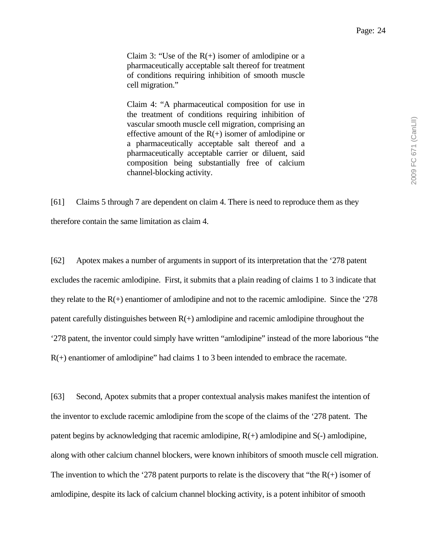Claim 3: "Use of the  $R(+)$  isomer of amlodipine or a pharmaceutically acceptable salt thereof for treatment of conditions requiring inhibition of smooth muscle cell migration."

Claim 4: "A pharmaceutical composition for use in the treatment of conditions requiring inhibition of vascular smooth muscle cell migration, comprising an effective amount of the  $R(+)$  isomer of amlodipine or a pharmaceutically acceptable salt thereof and a pharmaceutically acceptable carrier or diluent, said composition being substantially free of calcium channel-blocking activity.

[61] Claims 5 through 7 are dependent on claim 4. There is need to reproduce them as they therefore contain the same limitation as claim 4.

[62] Apotex makes a number of arguments in support of its interpretation that the '278 patent excludes the racemic amlodipine. First, it submits that a plain reading of claims 1 to 3 indicate that they relate to the  $R(+)$  enantiomer of amlodipine and not to the racemic amlodipine. Since the '278 patent carefully distinguishes between  $R(+)$  amlodipine and racemic amlodipine throughout the '278 patent, the inventor could simply have written "amlodipine" instead of the more laborious "the R(+) enantiomer of amlodipine" had claims 1 to 3 been intended to embrace the racemate.

[63] Second, Apotex submits that a proper contextual analysis makes manifest the intention of the inventor to exclude racemic amlodipine from the scope of the claims of the '278 patent. The patent begins by acknowledging that racemic amlodipine,  $R(+)$  amlodipine and  $S(-)$  amlodipine, along with other calcium channel blockers, were known inhibitors of smooth muscle cell migration. The invention to which the '278 patent purports to relate is the discovery that "the  $R(+)$  isomer of amlodipine, despite its lack of calcium channel blocking activity, is a potent inhibitor of smooth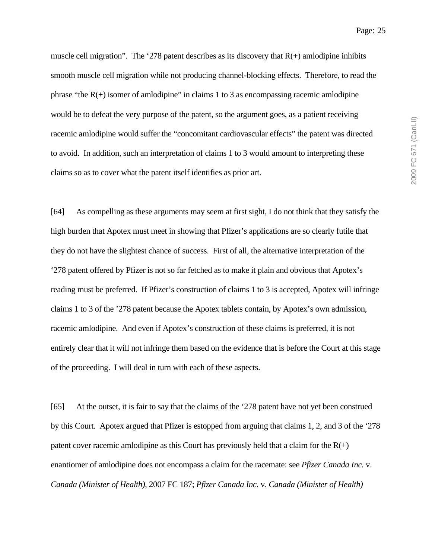muscle cell migration". The '278 patent describes as its discovery that  $R(+)$  amlodipine inhibits smooth muscle cell migration while not producing channel-blocking effects. Therefore, to read the phrase "the  $R(+)$  isomer of amlodipine" in claims 1 to 3 as encompassing racemic amlodipine would be to defeat the very purpose of the patent, so the argument goes, as a patient receiving racemic amlodipine would suffer the "concomitant cardiovascular effects" the patent was directed to avoid. In addition, such an interpretation of claims 1 to 3 would amount to interpreting these claims so as to cover what the patent itself identifies as prior art.

[64] As compelling as these arguments may seem at first sight, I do not think that they satisfy the high burden that Apotex must meet in showing that Pfizer's applications are so clearly futile that they do not have the slightest chance of success. First of all, the alternative interpretation of the '278 patent offered by Pfizer is not so far fetched as to make it plain and obvious that Apotex's reading must be preferred. If Pfizer's construction of claims 1 to 3 is accepted, Apotex will infringe claims 1 to 3 of the '278 patent because the Apotex tablets contain, by Apotex's own admission, racemic amlodipine. And even if Apotex's construction of these claims is preferred, it is not entirely clear that it will not infringe them based on the evidence that is before the Court at this stage of the proceeding. I will deal in turn with each of these aspects.

[65] At the outset, it is fair to say that the claims of the '278 patent have not yet been construed by this Court. Apotex argued that Pfizer is estopped from arguing that claims 1, 2, and 3 of the '278 patent cover racemic amlodipine as this Court has previously held that a claim for the  $R(+)$ enantiomer of amlodipine does not encompass a claim for the racemate: see *Pfizer Canada Inc.* v. *Canada (Minister of Health)*, 2007 FC 187; *Pfizer Canada Inc.* v. *Canada (Minister of Health)*

Page: 25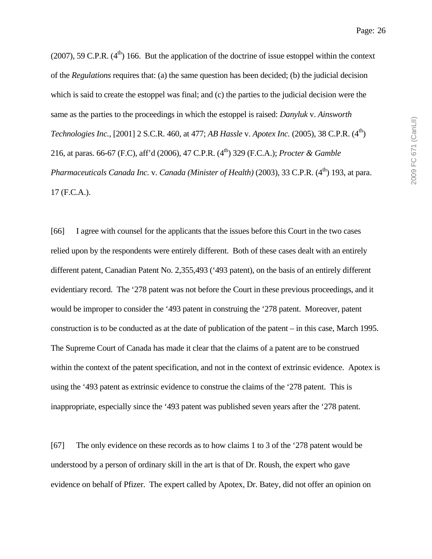Page: 26

(2007), 59 C.P.R.  $(4<sup>th</sup>)$  166. But the application of the doctrine of issue estoppel within the context of the *Regulations* requires that: (a) the same question has been decided; (b) the judicial decision which is said to create the estoppel was final; and (c) the parties to the judicial decision were the same as the parties to the proceedings in which the estoppel is raised: *Danyluk* v. *Ainsworth Technologies Inc.*, [2001] 2 S.C.R. 460, at 477; *AB Hassle v. Apotex Inc.* (2005), 38 C.P.R. (4<sup>th</sup>) 216, at paras. 66-67 (F.C), aff'd (2006), 47 C.P.R. (4th) 329 (F.C.A.); *Procter & Gamble Pharmaceuticals Canada Inc. v. Canada (Minister of Health)* (2003), 33 C.P.R. (4<sup>th</sup>) 193, at para. 17 (F.C.A.).

[66] I agree with counsel for the applicants that the issues before this Court in the two cases relied upon by the respondents were entirely different. Both of these cases dealt with an entirely different patent, Canadian Patent No. 2,355,493 ('493 patent), on the basis of an entirely different evidentiary record. The '278 patent was not before the Court in these previous proceedings, and it would be improper to consider the '493 patent in construing the '278 patent. Moreover, patent construction is to be conducted as at the date of publication of the patent – in this case, March 1995. The Supreme Court of Canada has made it clear that the claims of a patent are to be construed within the context of the patent specification, and not in the context of extrinsic evidence. Apotex is using the '493 patent as extrinsic evidence to construe the claims of the '278 patent. This is inappropriate, especially since the '493 patent was published seven years after the '278 patent.

[67] The only evidence on these records as to how claims 1 to 3 of the '278 patent would be understood by a person of ordinary skill in the art is that of Dr. Roush, the expert who gave evidence on behalf of Pfizer. The expert called by Apotex, Dr. Batey, did not offer an opinion on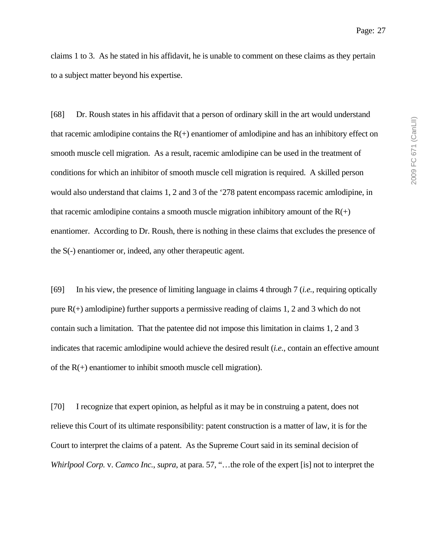claims 1 to 3. As he stated in his affidavit, he is unable to comment on these claims as they pertain to a subject matter beyond his expertise.

[68] Dr. Roush states in his affidavit that a person of ordinary skill in the art would understand that racemic amlodipine contains the  $R(+)$  enantiomer of amlodipine and has an inhibitory effect on smooth muscle cell migration. As a result, racemic amlodipine can be used in the treatment of conditions for which an inhibitor of smooth muscle cell migration is required. A skilled person would also understand that claims 1, 2 and 3 of the '278 patent encompass racemic amlodipine, in that racemic amlodipine contains a smooth muscle migration inhibitory amount of the  $R(+)$ enantiomer. According to Dr. Roush, there is nothing in these claims that excludes the presence of the S(-) enantiomer or, indeed, any other therapeutic agent.

[69] In his view, the presence of limiting language in claims 4 through 7 (*i.e.*, requiring optically pure  $R(+)$  amlodipine) further supports a permissive reading of claims 1, 2 and 3 which do not contain such a limitation. That the patentee did not impose this limitation in claims 1, 2 and 3 indicates that racemic amlodipine would achieve the desired result (*i.e.*, contain an effective amount of the  $R(+)$  enantiomer to inhibit smooth muscle cell migration).

[70] I recognize that expert opinion, as helpful as it may be in construing a patent, does not relieve this Court of its ultimate responsibility: patent construction is a matter of law, it is for the Court to interpret the claims of a patent. As the Supreme Court said in its seminal decision of *Whirlpool Corp.* v. *Camco Inc.*, *supra*, at para. 57, "…the role of the expert [is] not to interpret the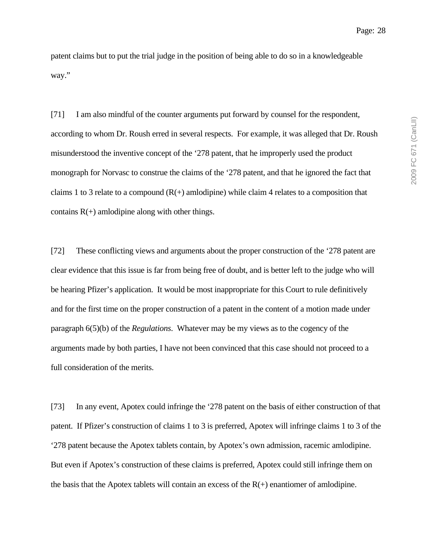patent claims but to put the trial judge in the position of being able to do so in a knowledgeable way."

[71] I am also mindful of the counter arguments put forward by counsel for the respondent, according to whom Dr. Roush erred in several respects. For example, it was alleged that Dr. Roush misunderstood the inventive concept of the '278 patent, that he improperly used the product monograph for Norvasc to construe the claims of the '278 patent, and that he ignored the fact that claims 1 to 3 relate to a compound  $(R(+)$  amlodipine) while claim 4 relates to a composition that contains  $R(+)$  amlodipine along with other things.

[72] These conflicting views and arguments about the proper construction of the '278 patent are clear evidence that this issue is far from being free of doubt, and is better left to the judge who will be hearing Pfizer's application. It would be most inappropriate for this Court to rule definitively and for the first time on the proper construction of a patent in the content of a motion made under paragraph 6(5)(b) of the *Regulations*. Whatever may be my views as to the cogency of the arguments made by both parties, I have not been convinced that this case should not proceed to a full consideration of the merits.

[73] In any event, Apotex could infringe the '278 patent on the basis of either construction of that patent. If Pfizer's construction of claims 1 to 3 is preferred, Apotex will infringe claims 1 to 3 of the '278 patent because the Apotex tablets contain, by Apotex's own admission, racemic amlodipine. But even if Apotex's construction of these claims is preferred, Apotex could still infringe them on the basis that the Apotex tablets will contain an excess of the  $R(+)$  enantiomer of amlodipine.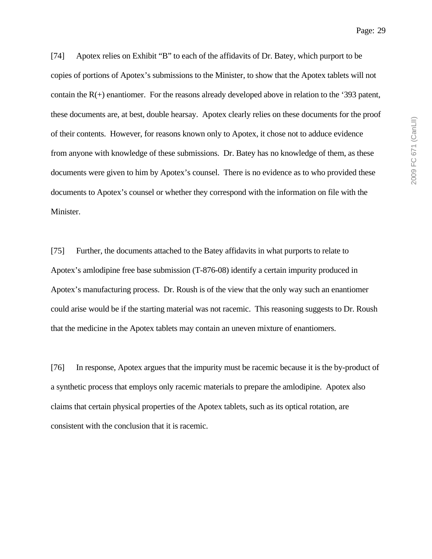[74] Apotex relies on Exhibit "B" to each of the affidavits of Dr. Batey, which purport to be copies of portions of Apotex's submissions to the Minister, to show that the Apotex tablets will not contain the  $R(+)$  enantiomer. For the reasons already developed above in relation to the '393 patent, these documents are, at best, double hearsay. Apotex clearly relies on these documents for the proof of their contents. However, for reasons known only to Apotex, it chose not to adduce evidence from anyone with knowledge of these submissions. Dr. Batey has no knowledge of them, as these documents were given to him by Apotex's counsel. There is no evidence as to who provided these documents to Apotex's counsel or whether they correspond with the information on file with the Minister.

[75] Further, the documents attached to the Batey affidavits in what purports to relate to Apotex's amlodipine free base submission (T-876-08) identify a certain impurity produced in Apotex's manufacturing process. Dr. Roush is of the view that the only way such an enantiomer could arise would be if the starting material was not racemic. This reasoning suggests to Dr. Roush that the medicine in the Apotex tablets may contain an uneven mixture of enantiomers.

[76] In response, Apotex argues that the impurity must be racemic because it is the by-product of a synthetic process that employs only racemic materials to prepare the amlodipine. Apotex also claims that certain physical properties of the Apotex tablets, such as its optical rotation, are consistent with the conclusion that it is racemic.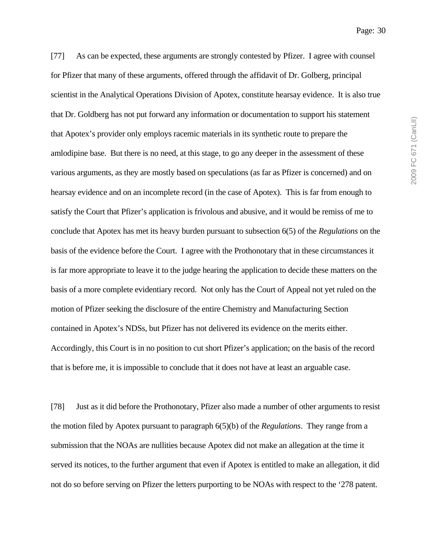[77] As can be expected, these arguments are strongly contested by Pfizer. I agree with counsel for Pfizer that many of these arguments, offered through the affidavit of Dr. Golberg, principal scientist in the Analytical Operations Division of Apotex, constitute hearsay evidence. It is also true that Dr. Goldberg has not put forward any information or documentation to support his statement that Apotex's provider only employs racemic materials in its synthetic route to prepare the amlodipine base. But there is no need, at this stage, to go any deeper in the assessment of these various arguments, as they are mostly based on speculations (as far as Pfizer is concerned) and on hearsay evidence and on an incomplete record (in the case of Apotex). This is far from enough to satisfy the Court that Pfizer's application is frivolous and abusive, and it would be remiss of me to conclude that Apotex has met its heavy burden pursuant to subsection 6(5) of the *Regulations* on the basis of the evidence before the Court. I agree with the Prothonotary that in these circumstances it is far more appropriate to leave it to the judge hearing the application to decide these matters on the basis of a more complete evidentiary record. Not only has the Court of Appeal not yet ruled on the motion of Pfizer seeking the disclosure of the entire Chemistry and Manufacturing Section contained in Apotex's NDSs, but Pfizer has not delivered its evidence on the merits either. Accordingly, this Court is in no position to cut short Pfizer's application; on the basis of the record that is before me, it is impossible to conclude that it does not have at least an arguable case.

[78] Just as it did before the Prothonotary, Pfizer also made a number of other arguments to resist the motion filed by Apotex pursuant to paragraph 6(5)(b) of the *Regulations*. They range from a submission that the NOAs are nullities because Apotex did not make an allegation at the time it served its notices, to the further argument that even if Apotex is entitled to make an allegation, it did not do so before serving on Pfizer the letters purporting to be NOAs with respect to the '278 patent.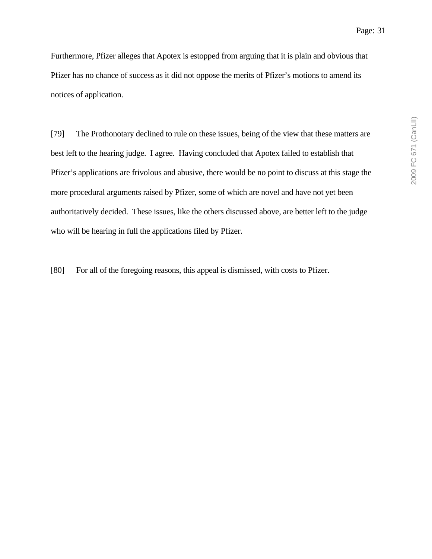Furthermore, Pfizer alleges that Apotex is estopped from arguing that it is plain and obvious that Pfizer has no chance of success as it did not oppose the merits of Pfizer's motions to amend its notices of application.

[79] The Prothonotary declined to rule on these issues, being of the view that these matters are best left to the hearing judge. I agree. Having concluded that Apotex failed to establish that Pfizer's applications are frivolous and abusive, there would be no point to discuss at this stage the more procedural arguments raised by Pfizer, some of which are novel and have not yet been authoritatively decided. These issues, like the others discussed above, are better left to the judge who will be hearing in full the applications filed by Pfizer.

[80] For all of the foregoing reasons, this appeal is dismissed, with costs to Pfizer.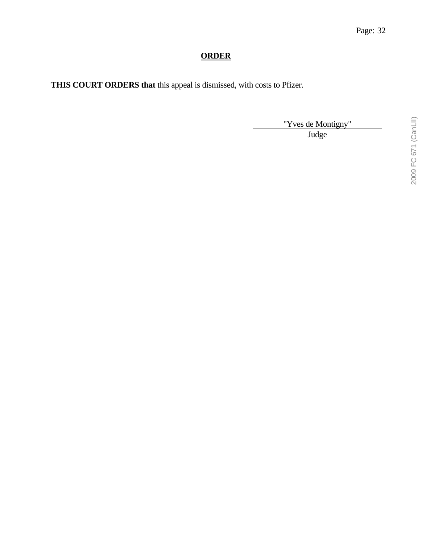# **ORDER**

**THIS COURT ORDERS that** this appeal is dismissed, with costs to Pfizer.

"Yves de Montigny"

Judge